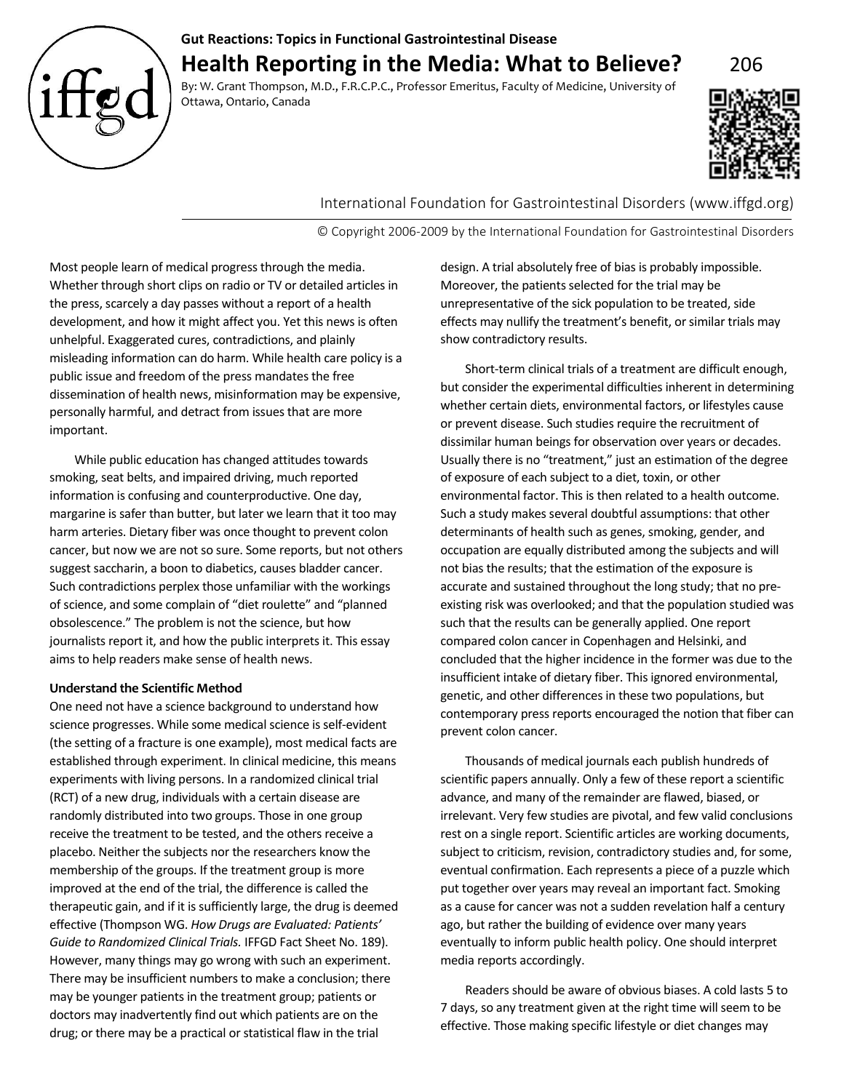

# **Gut Reactions: Topics in Functional Gastrointestinal Disease Health Reporting in the Media: What to Believe?** 206

By: W. Grant Thompson, M.D., F.R.C.P.C., Professor Emeritus, Faculty of Medicine, University of Ottawa, Ontario, Canada



International Foundation for Gastrointestinal Disorders (www.iffgd.org)

© Copyright 2006-2009 by the International Foundation for Gastrointestinal Disorders

Most people learn of medical progress through the media. Whether through short clips on radio or TV or detailed articles in the press, scarcely a day passes without a report of a health development, and how it might affect you. Yet this news is often unhelpful. Exaggerated cures, contradictions, and plainly misleading information can do harm. While health care policy is a public issue and freedom of the press mandates the free dissemination of health news, misinformation may be expensive, personally harmful, and detract from issues that are more important.

While public education has changed attitudes towards smoking, seat belts, and impaired driving, much reported information is confusing and counterproductive. One day, margarine is safer than butter, but later we learn that it too may harm arteries. Dietary fiber was once thought to prevent colon cancer, but now we are not so sure. Some reports, but not others suggest saccharin, a boon to diabetics, causes bladder cancer. Such contradictions perplex those unfamiliar with the workings of science, and some complain of "diet roulette" and "planned obsolescence." The problem is not the science, but how journalists report it, and how the public interprets it. This essay aims to help readers make sense of health news.

## **Understand the Scientific Method**

One need not have a science background to understand how science progresses. While some medical science is self-evident (the setting of a fracture is one example), most medical facts are established through experiment. In clinical medicine, this means experiments with living persons. In a randomized clinical trial (RCT) of a new drug, individuals with a certain disease are randomly distributed into two groups. Those in one group receive the treatment to be tested, and the others receive a placebo. Neither the subjects nor the researchers know the membership of the groups. If the treatment group is more improved at the end of the trial, the difference is called the therapeutic gain, and if it is sufficiently large, the drug is deemed effective (Thompson WG. *How Drugs are Evaluated: Patients' Guide to Randomized Clinical Trials.* IFFGD Fact Sheet No. 189). However, many things may go wrong with such an experiment. There may be insufficient numbers to make a conclusion; there may be younger patients in the treatment group; patients or doctors may inadvertently find out which patients are on the drug; or there may be a practical or statistical flaw in the trial

design. A trial absolutely free of bias is probably impossible. Moreover, the patients selected for the trial may be unrepresentative of the sick population to be treated, side effects may nullify the treatment's benefit, or similar trials may show contradictory results.

Short-term clinical trials of a treatment are difficult enough, but consider the experimental difficulties inherent in determining whether certain diets, environmental factors, or lifestyles cause or prevent disease. Such studies require the recruitment of dissimilar human beings for observation over years or decades. Usually there is no "treatment," just an estimation of the degree of exposure of each subject to a diet, toxin, or other environmental factor. This is then related to a health outcome. Such a study makes several doubtful assumptions: that other determinants of health such as genes, smoking, gender, and occupation are equally distributed among the subjects and will not bias the results; that the estimation of the exposure is accurate and sustained throughout the long study; that no preexisting risk was overlooked; and that the population studied was such that the results can be generally applied. One report compared colon cancer in Copenhagen and Helsinki, and concluded that the higher incidence in the former was due to the insufficient intake of dietary fiber. This ignored environmental, genetic, and other differences in these two populations, but contemporary press reports encouraged the notion that fiber can prevent colon cancer.

Thousands of medical journals each publish hundreds of scientific papers annually. Only a few of these report a scientific advance, and many of the remainder are flawed, biased, or irrelevant. Very few studies are pivotal, and few valid conclusions rest on a single report. Scientific articles are working documents, subject to criticism, revision, contradictory studies and, for some, eventual confirmation. Each represents a piece of a puzzle which put together over years may reveal an important fact. Smoking as a cause for cancer was not a sudden revelation half a century ago, but rather the building of evidence over many years eventually to inform public health policy. One should interpret media reports accordingly.

Readers should be aware of obvious biases. A cold lasts 5 to 7 days, so any treatment given at the right time will seem to be effective. Those making specific lifestyle or diet changes may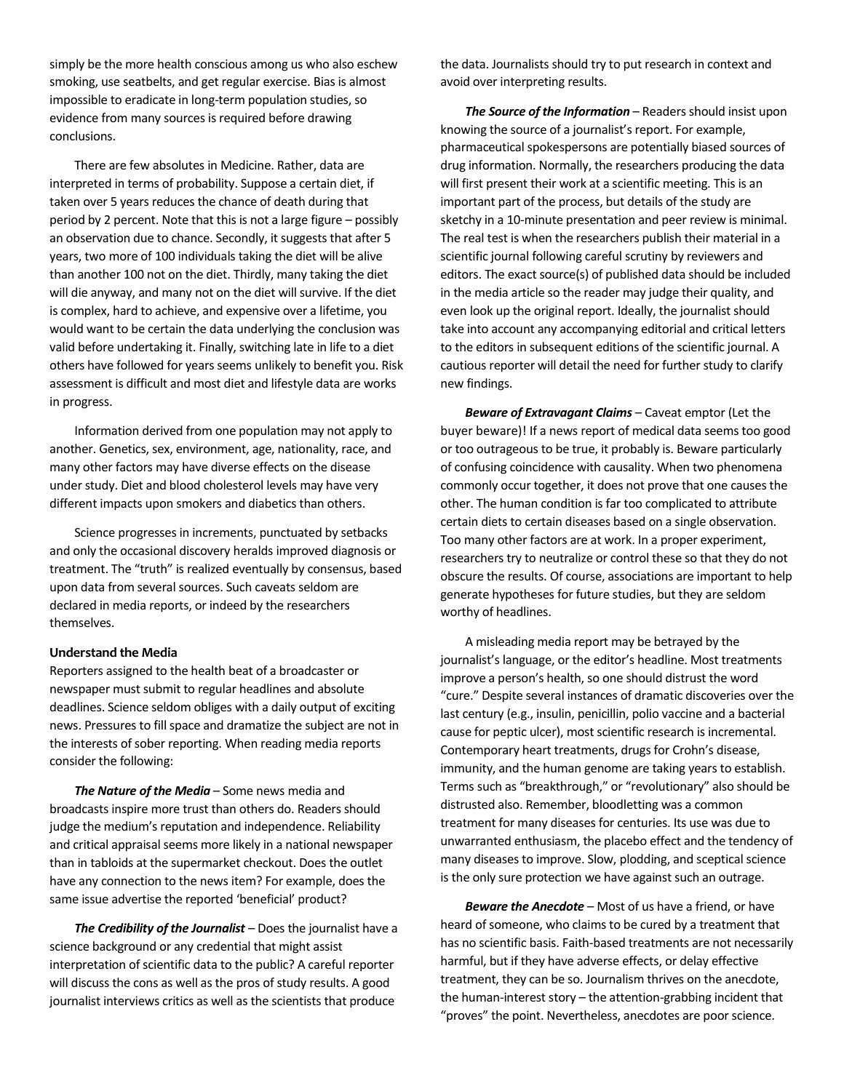simply be the more health conscious among us who also eschew smoking, use seatbelts, and get regular exercise. Bias is almost impossible to eradicate in long-term population studies, so evidence from many sources is required before drawing conclusions.

There are few absolutes in Medicine. Rather, data are interpreted in terms of probability. Suppose a certain diet, if taken over 5 years reduces the chance of death during that period by 2 percent. Note that this is not a large figure – possibly an observation due to chance. Secondly, it suggests that after 5 years, two more of 100 individuals taking the diet will be alive than another 100 not on the diet. Thirdly, many taking the diet will die anyway, and many not on the diet will survive. If the diet is complex, hard to achieve, and expensive over a lifetime, you would want to be certain the data underlying the conclusion was valid before undertaking it. Finally, switching late in life to a diet others have followed for years seems unlikely to benefit you. Risk assessment is difficult and most diet and lifestyle data are works in progress.

Information derived from one population may not apply to another. Genetics, sex, environment, age, nationality, race, and many other factors may have diverse effects on the disease under study. Diet and blood cholesterol levels may have very different impacts upon smokers and diabetics than others.

Science progresses in increments, punctuated by setbacks and only the occasional discovery heralds improved diagnosis or treatment. The "truth" is realized eventually by consensus, based upon data from several sources. Such caveats seldom are declared in media reports, or indeed by the researchers themselves.

#### **Understand the Media**

Reporters assigned to the health beat of a broadcaster or newspaper must submit to regular headlines and absolute deadlines. Science seldom obliges with a daily output of exciting news. Pressures to fill space and dramatize the subject are not in the interests of sober reporting. When reading media reports consider the following:

*The Nature of the Media* – Some news media and broadcasts inspire more trust than others do. Readers should judge the medium's reputation and independence. Reliability and critical appraisal seems more likely in a national newspaper than in tabloids at the supermarket checkout. Does the outlet have any connection to the news item? For example, does the same issue advertise the reported 'beneficial' product?

*The Credibility of the Journalist* – Does the journalist have a science background or any credential that might assist interpretation of scientific data to the public? A careful reporter will discuss the cons as well as the pros of study results. A good journalist interviews critics as well as the scientists that produce

the data. Journalists should try to put research in context and avoid over interpreting results.

*The Source of the Information* – Readers should insist upon knowing the source of a journalist's report. For example, pharmaceutical spokespersons are potentially biased sources of drug information. Normally, the researchers producing the data will first present their work at a scientific meeting. This is an important part of the process, but details of the study are sketchy in a 10-minute presentation and peer review is minimal. The real test is when the researchers publish their material in a scientific journal following careful scrutiny by reviewers and editors. The exact source(s) of published data should be included in the media article so the reader may judge their quality, and even look up the original report. Ideally, the journalist should take into account any accompanying editorial and critical letters to the editors in subsequent editions of the scientific journal. A cautious reporter will detail the need for further study to clarify new findings.

*Beware of Extravagant Claims – Caveat emptor (Let the* buyer beware)! If a news report of medical data seems too good or too outrageous to be true, it probably is. Beware particularly of confusing coincidence with causality. When two phenomena commonly occur together, it does not prove that one causes the other. The human condition is far too complicated to attribute certain diets to certain diseases based on a single observation. Too many other factors are at work. In a proper experiment, researchers try to neutralize or control these so that they do not obscure the results. Of course, associations are important to help generate hypotheses for future studies, but they are seldom worthy of headlines.

A misleading media report may be betrayed by the journalist's language, or the editor's headline. Most treatments improve a person's health, so one should distrust the word "cure." Despite several instances of dramatic discoveries over the last century (e.g., insulin, penicillin, polio vaccine and a bacterial cause for peptic ulcer), most scientific research is incremental. Contemporary heart treatments, drugs for Crohn's disease, immunity, and the human genome are taking years to establish. Terms such as "breakthrough," or "revolutionary" also should be distrusted also. Remember, bloodletting was a common treatment for many diseases for centuries. Its use was due to unwarranted enthusiasm, the placebo effect and the tendency of many diseases to improve. Slow, plodding, and sceptical science is the only sure protection we have against such an outrage.

*Beware the Anecdote* – Most of us have a friend, or have heard of someone, who claims to be cured by a treatment that has no scientific basis. Faith-based treatments are not necessarily harmful, but if they have adverse effects, or delay effective treatment, they can be so. Journalism thrives on the anecdote, the human-interest story – the attention-grabbing incident that "proves" the point. Nevertheless, anecdotes are poor science.